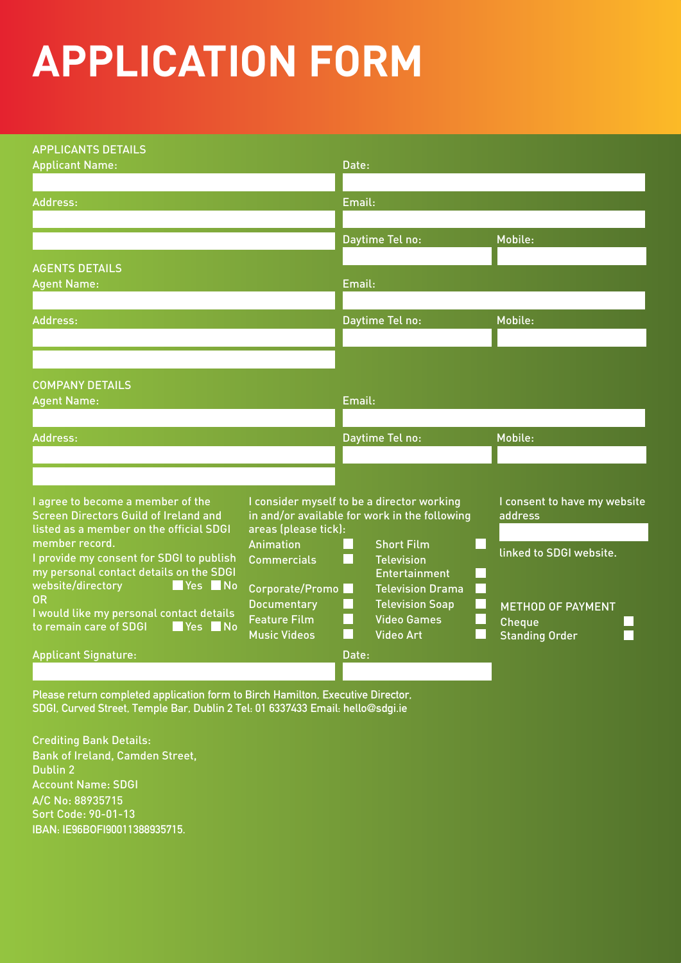## **APPLICATION FORM**

| <b>APPLICANTS DETAILS</b>                                                                     |                                   |        |                                            |  |                              |
|-----------------------------------------------------------------------------------------------|-----------------------------------|--------|--------------------------------------------|--|------------------------------|
| <b>Applicant Name:</b>                                                                        |                                   | Date:  |                                            |  |                              |
|                                                                                               |                                   |        |                                            |  |                              |
| Address:                                                                                      |                                   | Email: |                                            |  |                              |
|                                                                                               |                                   |        |                                            |  |                              |
|                                                                                               |                                   |        | Daytime Tel no:                            |  | Mobile:                      |
|                                                                                               |                                   |        |                                            |  |                              |
| <b>AGENTS DETAILS</b>                                                                         |                                   |        |                                            |  |                              |
| <b>Agent Name:</b>                                                                            |                                   | Email: |                                            |  |                              |
|                                                                                               |                                   |        |                                            |  |                              |
| Address:                                                                                      |                                   |        | Daytime Tel no:                            |  | Mobile:                      |
|                                                                                               |                                   |        |                                            |  |                              |
|                                                                                               |                                   |        |                                            |  |                              |
|                                                                                               |                                   |        |                                            |  |                              |
| <b>COMPANY DETAILS</b>                                                                        |                                   |        |                                            |  |                              |
| <b>Agent Name:</b>                                                                            |                                   | Email: |                                            |  |                              |
|                                                                                               |                                   |        |                                            |  |                              |
| Address:                                                                                      |                                   |        | Daytime Tel no:                            |  | Mobile:                      |
|                                                                                               |                                   |        |                                            |  |                              |
|                                                                                               |                                   |        |                                            |  |                              |
|                                                                                               |                                   |        |                                            |  |                              |
| I agree to become a member of the                                                             |                                   |        | I consider myself to be a director working |  | I consent to have my website |
| <b>Screen Directors Guild of Ireland and</b><br>in and/or available for work in the following |                                   |        |                                            |  | address                      |
| listed as a member on the official SDGI<br>member record.                                     | areas (please tick):<br>Animation |        | <b>Short Film</b>                          |  |                              |
| I provide my consent for SDGI to publish                                                      | <b>Commercials</b>                |        | <b>Television</b>                          |  | linked to SDGI website.      |
| my personal contact details on the SDGI                                                       |                                   |        | <b>Entertainment</b>                       |  |                              |
| Yes No<br>website/directory                                                                   | Corporate/Promo                   |        | <b>Television Drama</b>                    |  |                              |
| <b>OR</b>                                                                                     | <b>Documentary</b>                |        | <b>Television Soap</b>                     |  | <b>METHOD OF PAYMENT</b>     |
| I would like my personal contact details<br>to remain care of SDGI<br>Yes No                  | <b>Feature Film</b>               |        | <b>Video Games</b>                         |  | <b>Cheque</b>                |
|                                                                                               | <b>Music Videos</b>               |        | <b>Video Art</b>                           |  | <b>Standing Order</b>        |
| <b>Applicant Signature:</b>                                                                   |                                   | Date:  |                                            |  |                              |
|                                                                                               |                                   |        |                                            |  |                              |

**Please return completed application form to Birch Hamilton, Executive Director, SDGI, Curved Street, Temple Bar, Dublin 2 Tel: 01 6337433 Email: hello@sdgi.ie**

Crediting Bank Details: Bank of Ireland, Camden Street, Dublin 2 Account Name: SDGI A/C No: 88935715 Sort Code: 90-01-13 **IBAN: IE96BOFI90011388935715.**